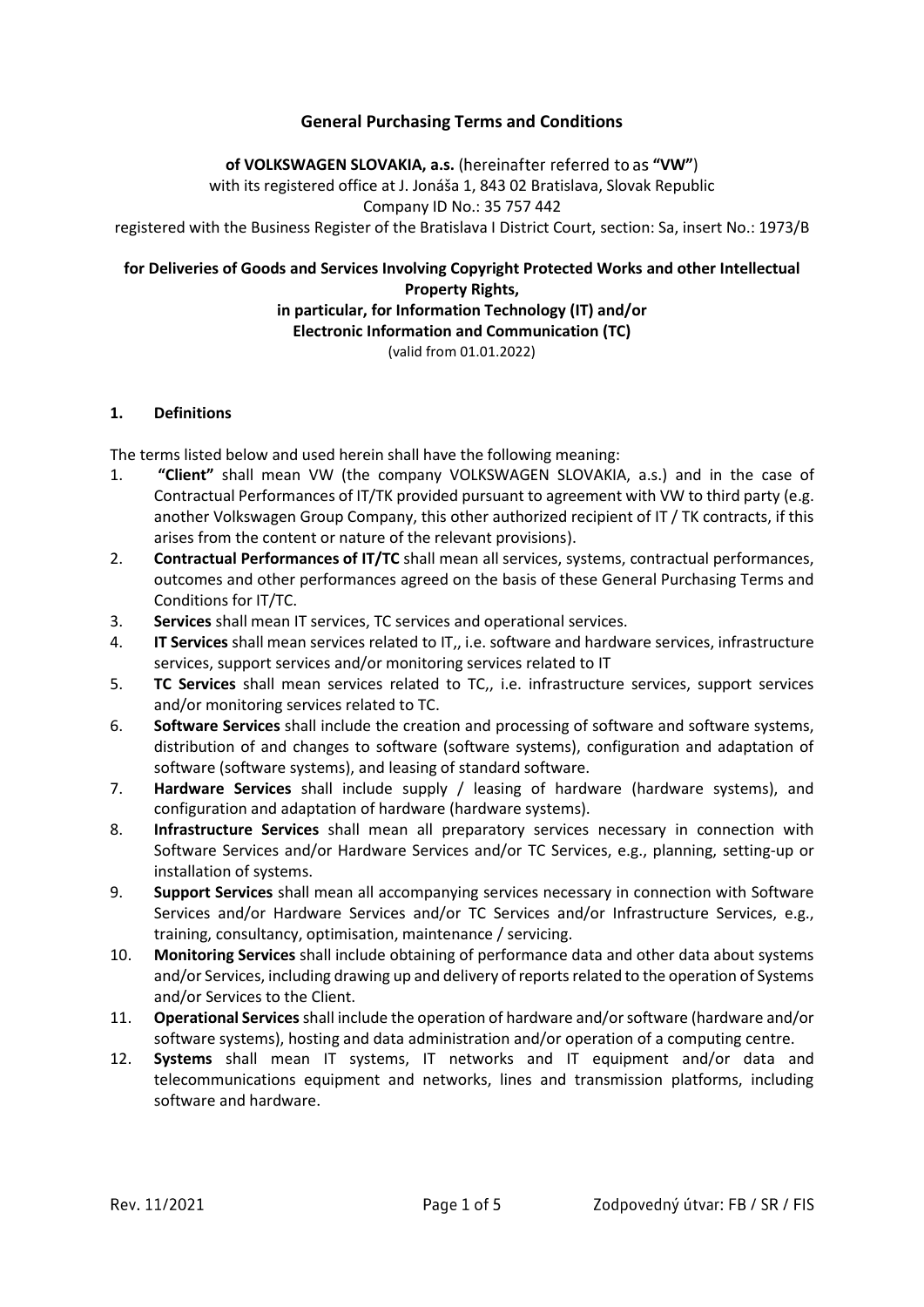## **General Purchasing Terms and Conditions**

#### of VOLKSWAGEN SLOVAKIA, a.s. (hereinafter referred to as "VW")

with its registered office at J. Jonáša 1, 843 02 Bratislava, Slovak Republic

Company ID No.: 35 757 442

registered with the Business Register of the Bratislava I District Court, section: Sa, insert No.: 1973/B

## **for Deliveries of Goods and Services Involving Copyright Protected Works and other Intellectual Property Rights,**

# **in particular, for Information Technology (IT) and/or**

**Electronic Information and Communication (TC)**

(valid from 01.01.2022)

## **1. Definitions**

The terms listed below and used herein shall have the following meaning:

- 1. **"Client"** shall mean VW (the company VOLKSWAGEN SLOVAKIA, a.s.) and in the case of Contractual Performances of IT/TK provided pursuant to agreement with VW to third party (e.g. another Volkswagen Group Company, this other authorized recipient of IT / TK contracts, if this arises from the content or nature of the relevant provisions).
- 2. **Contractual Performances of IT/TC** shall mean all services, systems, contractual performances, outcomes and other performances agreed on the basis of these General Purchasing Terms and Conditions for IT/TC.
- 3. **Services** shall mean IT services, TC services and operational services.
- 4. **IT Services** shall mean services related to IT,, i.e. software and hardware services, infrastructure services, support services and/or monitoring services related to IT
- 5. **TC Services** shall mean services related to TC,, i.e. infrastructure services, support services and/or monitoring services related to TC.
- 6. **Software Services** shall include the creation and processing of software and software systems, distribution of and changes to software (software systems), configuration and adaptation of software (software systems), and leasing of standard software.
- 7. **Hardware Services** shall include supply / leasing of hardware (hardware systems), and configuration and adaptation of hardware (hardware systems).
- 8. **Infrastructure Services** shall mean all preparatory services necessary in connection with Software Services and/or Hardware Services and/or TC Services, e.g., planning, setting-up or installation of systems.
- 9. **Support Services** shall mean all accompanying services necessary in connection with Software Services and/or Hardware Services and/or TC Services and/or Infrastructure Services, e.g., training, consultancy, optimisation, maintenance / servicing.
- 10. **Monitoring Services** shall include obtaining of performance data and other data about systems and/or Services, including drawing up and delivery of reports related to the operation of Systems and/or Services to the Client.
- 11. **Operational Services**shall include the operation of hardware and/or software (hardware and/or software systems), hosting and data administration and/or operation of a computing centre.
- 12. **Systems** shall mean IT systems, IT networks and IT equipment and/or data and telecommunications equipment and networks, lines and transmission platforms, including software and hardware.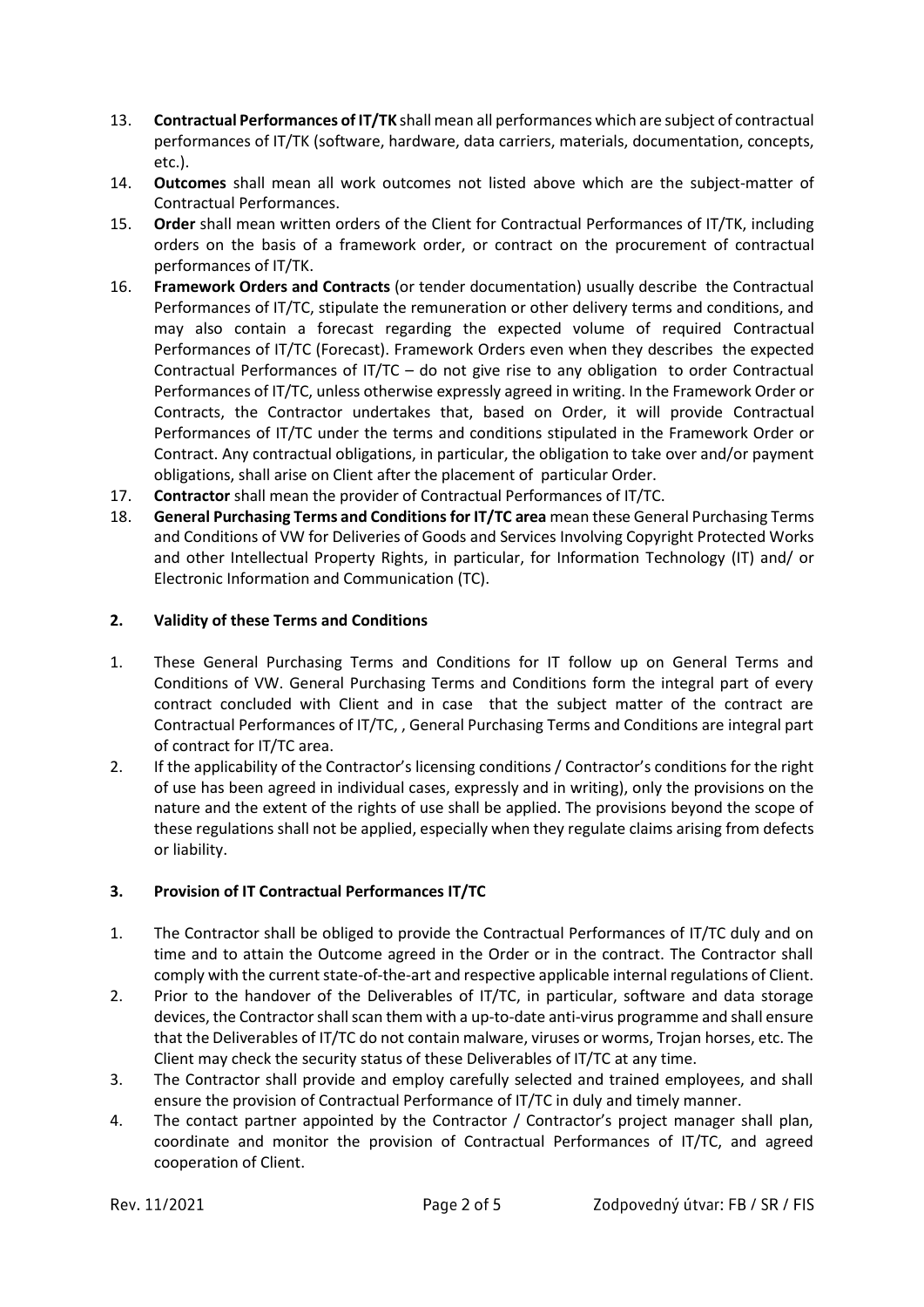- 13. **Contractual Performances of IT/TK** shall mean all performances which are subject of contractual performances of IT/TK (software, hardware, data carriers, materials, documentation, concepts, etc.).
- 14. **Outcomes** shall mean all work outcomes not listed above which are the subject-matter of Contractual Performances.
- 15. **Order** shall mean written orders of the Client for Contractual Performances of IT/TK, including orders on the basis of a framework order, or contract on the procurement of contractual performances of IT/TK.
- 16. **Framework Orders and Contracts** (or tender documentation) usually describe the Contractual Performances of IT/TC, stipulate the remuneration or other delivery terms and conditions, and may also contain a forecast regarding the expected volume of required Contractual Performances of IT/TC (Forecast). Framework Orders even when they describes the expected Contractual Performances of IT/TC – do not give rise to any obligation to order Contractual Performances of IT/TC, unless otherwise expressly agreed in writing. In the Framework Order or Contracts, the Contractor undertakes that, based on Order, it will provide Contractual Performances of IT/TC under the terms and conditions stipulated in the Framework Order or Contract. Any contractual obligations, in particular, the obligation to take over and/or payment obligations, shall arise on Client after the placement of particular Order.
- 17. **Contractor** shall mean the provider of Contractual Performances of IT/TC.
- 18. **General Purchasing Terms and Conditions for IT/TC area** mean these General Purchasing Terms and Conditions of VW for Deliveries of Goods and Services Involving Copyright Protected Works and other Intellectual Property Rights, in particular, for Information Technology (IT) and/ or Electronic Information and Communication (TC).

## **2. Validity of these Terms and Conditions**

- 1. These General Purchasing Terms and Conditions for IT follow up on General Terms and Conditions of VW. General Purchasing Terms and Conditions form the integral part of every contract concluded with Client and in case that the subject matter of the contract are Contractual Performances of IT/TC, , General Purchasing Terms and Conditions are integral part of contract for IT/TC area.
- 2. If the applicability of the Contractor's licensing conditions / Contractor's conditions for the right of use has been agreed in individual cases, expressly and in writing), only the provisions on the nature and the extent of the rights of use shall be applied. The provisions beyond the scope of these regulations shall not be applied, especially when they regulate claims arising from defects or liability.

# **3. Provision of IT Contractual Performances IT/TC**

- 1. The Contractor shall be obliged to provide the Contractual Performances of IT/TC duly and on time and to attain the Outcome agreed in the Order or in the contract. The Contractor shall comply with the current state-of-the-art and respective applicable internal regulations of Client.
- 2. Prior to the handover of the Deliverables of IT/TC, in particular, software and data storage devices, the Contractor shall scan them with a up-to-date anti-virus programme and shall ensure that the Deliverables of IT/TC do not contain malware, viruses or worms, Trojan horses, etc. The Client may check the security status of these Deliverables of IT/TC at any time.
- 3. The Contractor shall provide and employ carefully selected and trained employees, and shall ensure the provision of Contractual Performance of IT/TC in duly and timely manner.
- 4. The contact partner appointed by the Contractor / Contractor's project manager shall plan, coordinate and monitor the provision of Contractual Performances of IT/TC, and agreed cooperation of Client.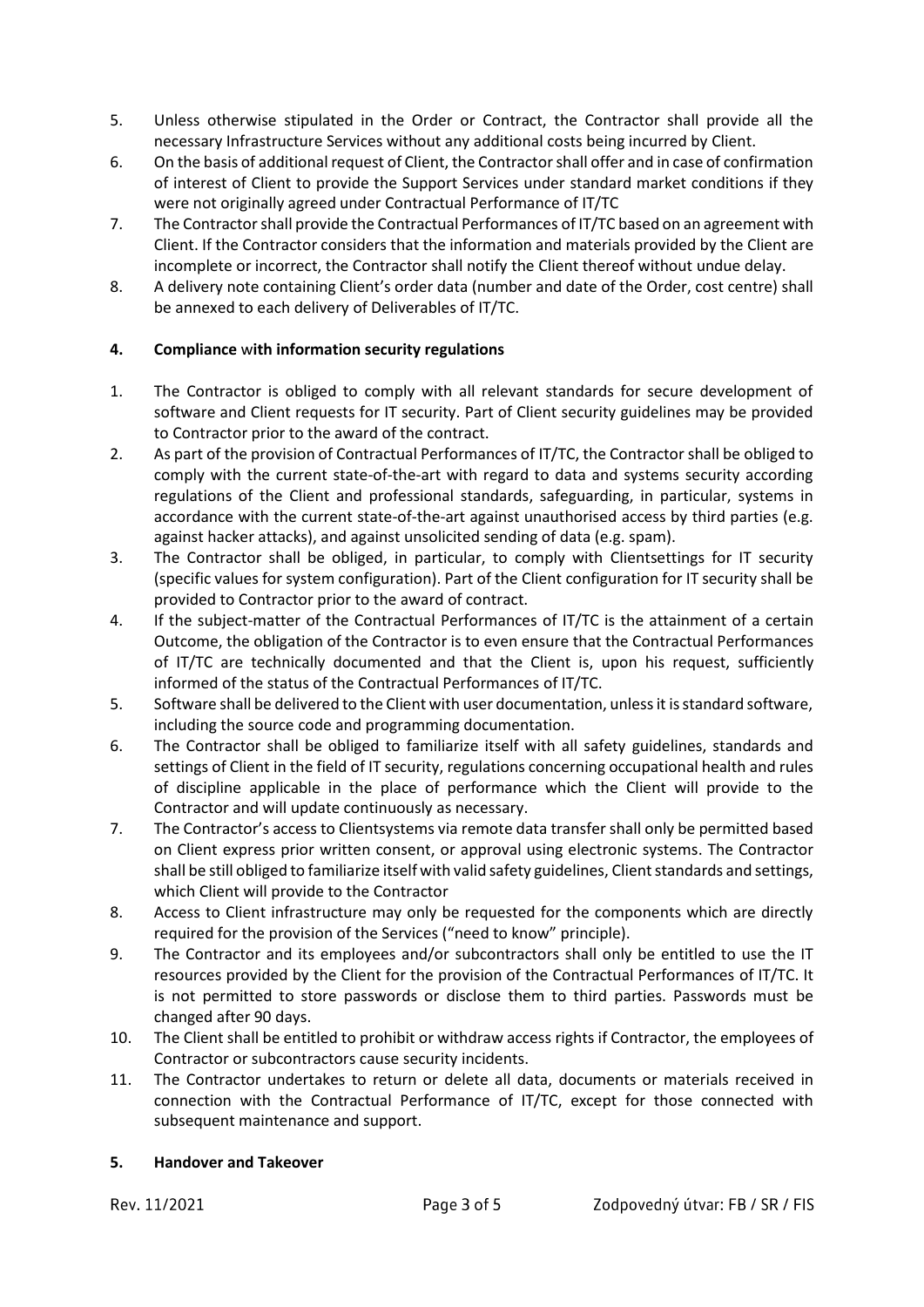- 5. Unless otherwise stipulated in the Order or Contract, the Contractor shall provide all the necessary Infrastructure Services without any additional costs being incurred by Client.
- 6. On the basis of additional request of Client, the Contractor shall offer and in case of confirmation of interest of Client to provide the Support Services under standard market conditions if they were not originally agreed under Contractual Performance of IT/TC
- 7. The Contractor shall provide the Contractual Performances of IT/TC based on an agreement with Client. If the Contractor considers that the information and materials provided by the Client are incomplete or incorrect, the Contractor shall notify the Client thereof without undue delay.
- 8. A delivery note containing Client's order data (number and date of the Order, cost centre) shall be annexed to each delivery of Deliverables of IT/TC.

## **4. Compliance** w**ith information security regulations**

- 1. The Contractor is obliged to comply with all relevant standards for secure development of software and Client requests for IT security. Part of Client security guidelines may be provided to Contractor prior to the award of the contract.
- 2. As part of the provision of Contractual Performances of IT/TC, the Contractor shall be obliged to comply with the current state-of-the-art with regard to data and systems security according regulations of the Client and professional standards, safeguarding, in particular, systems in accordance with the current state-of-the-art against unauthorised access by third parties (e.g. against hacker attacks), and against unsolicited sending of data (e.g. spam).
- 3. The Contractor shall be obliged, in particular, to comply with Clientsettings for IT security (specific values for system configuration). Part of the Client configuration for IT security shall be provided to Contractor prior to the award of contract.
- 4. If the subject-matter of the Contractual Performances of IT/TC is the attainment of a certain Outcome, the obligation of the Contractor is to even ensure that the Contractual Performances of IT/TC are technically documented and that the Client is, upon his request, sufficiently informed of the status of the Contractual Performances of IT/TC.
- 5. Software shall be delivered to the Client with user documentation, unless it is standard software, including the source code and programming documentation.
- 6. The Contractor shall be obliged to familiarize itself with all safety guidelines, standards and settings of Client in the field of IT security, regulations concerning occupational health and rules of discipline applicable in the place of performance which the Client will provide to the Contractor and will update continuously as necessary.
- 7. The Contractor's access to Clientsystems via remote data transfer shall only be permitted based on Client express prior written consent, or approval using electronic systems. The Contractor shall be still obliged to familiarize itself with valid safety guidelines, Client standards and settings, which Client will provide to the Contractor
- 8. Access to Client infrastructure may only be requested for the components which are directly required for the provision of the Services ("need to know" principle).
- 9. The Contractor and its employees and/or subcontractors shall only be entitled to use the IT resources provided by the Client for the provision of the Contractual Performances of IT/TC. It is not permitted to store passwords or disclose them to third parties. Passwords must be changed after 90 days.
- 10. The Client shall be entitled to prohibit or withdraw access rights if Contractor, the employees of Contractor or subcontractors cause security incidents.
- 11. The Contractor undertakes to return or delete all data, documents or materials received in connection with the Contractual Performance of IT/TC, except for those connected with subsequent maintenance and support.

## **5. Handover and Takeover**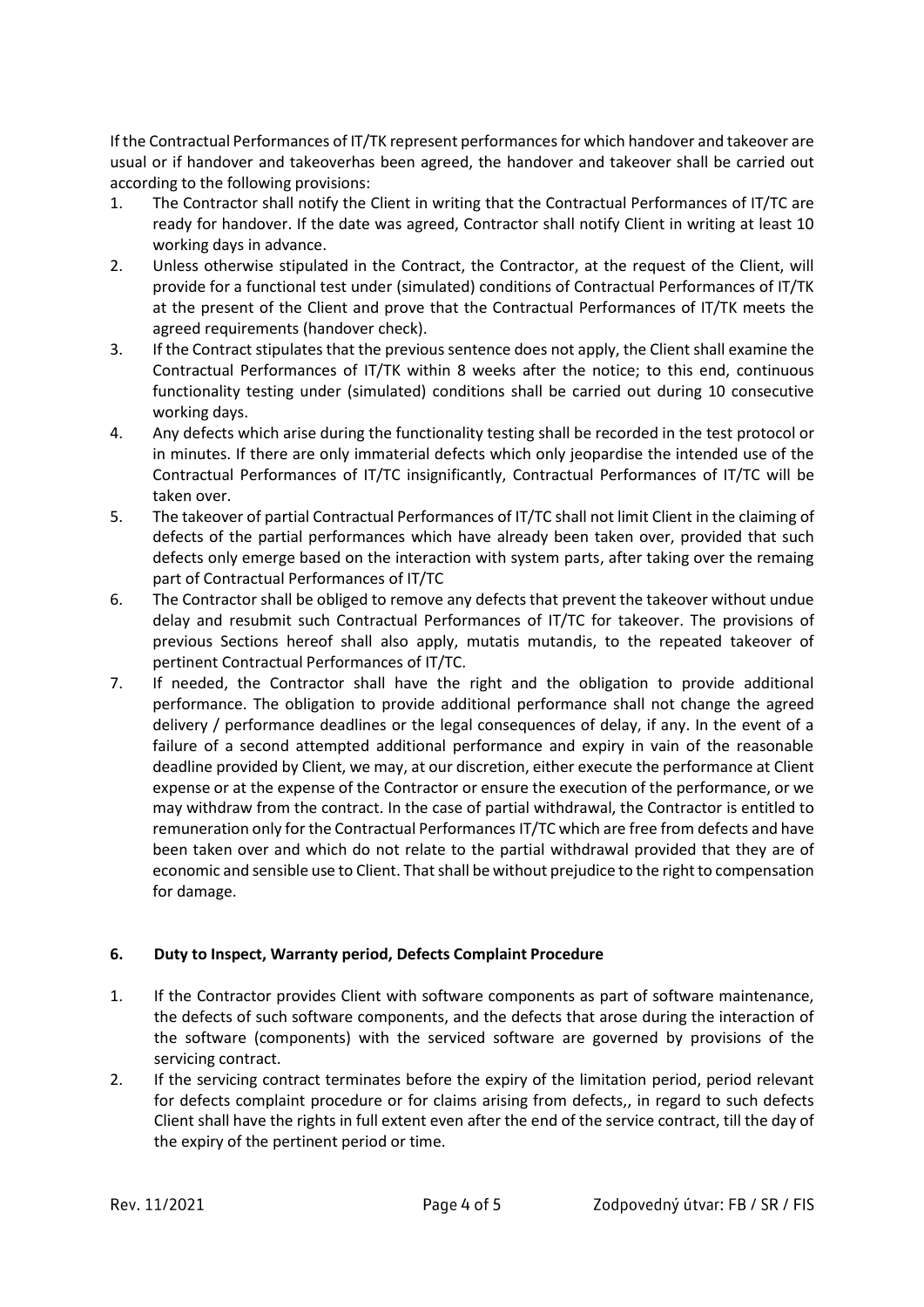If the Contractual Performances of IT/TK represent performancesfor which handover and takeover are usual or if handover and takeoverhas been agreed, the handover and takeover shall be carried out according to the following provisions:

- 1. The Contractor shall notify the Client in writing that the Contractual Performances of IT/TC are ready for handover. If the date was agreed, Contractor shall notify Client in writing at least 10 working days in advance.
- 2. Unless otherwise stipulated in the Contract, the Contractor, at the request of the Client, will provide for a functional test under (simulated) conditions of Contractual Performances of IT/TK at the present of the Client and prove that the Contractual Performances of IT/TK meets the agreed requirements (handover check).
- 3. If the Contract stipulates that the previous sentence does not apply, the Client shall examine the Contractual Performances of IT/TK within 8 weeks after the notice; to this end, continuous functionality testing under (simulated) conditions shall be carried out during 10 consecutive working days.
- 4. Any defects which arise during the functionality testing shall be recorded in the test protocol or in minutes. If there are only immaterial defects which only jeopardise the intended use of the Contractual Performances of IT/TC insignificantly, Contractual Performances of IT/TC will be taken over.
- 5. The takeover of partial Contractual Performances of IT/TC shall not limit Client in the claiming of defects of the partial performances which have already been taken over, provided that such defects only emerge based on the interaction with system parts, after taking over the remaing part of Contractual Performances of IT/TC
- 6. The Contractor shall be obliged to remove any defects that prevent the takeover without undue delay and resubmit such Contractual Performances of IT/TC for takeover. The provisions of previous Sections hereof shall also apply, mutatis mutandis, to the repeated takeover of pertinent Contractual Performances of IT/TC.
- 7. If needed, the Contractor shall have the right and the obligation to provide additional performance. The obligation to provide additional performance shall not change the agreed delivery / performance deadlines or the legal consequences of delay, if any. In the event of a failure of a second attempted additional performance and expiry in vain of the reasonable deadline provided by Client, we may, at our discretion, either execute the performance at Client expense or at the expense of the Contractor or ensure the execution of the performance, or we may withdraw from the contract. In the case of partial withdrawal, the Contractor is entitled to remuneration only for the Contractual Performances IT/TC which are free from defects and have been taken over and which do not relate to the partial withdrawal provided that they are of economic and sensible use to Client. That shall be without prejudice to the right to compensation for damage.

## **6. Duty to Inspect, Warranty period, Defects Complaint Procedure**

- 1. If the Contractor provides Client with software components as part of software maintenance, the defects of such software components, and the defects that arose during the interaction of the software (components) with the serviced software are governed by provisions of the servicing contract.
- 2. If the servicing contract terminates before the expiry of the limitation period, period relevant for defects complaint procedure or for claims arising from defects,, in regard to such defects Client shall have the rights in full extent even after the end of the service contract, till the day of the expiry of the pertinent period or time.